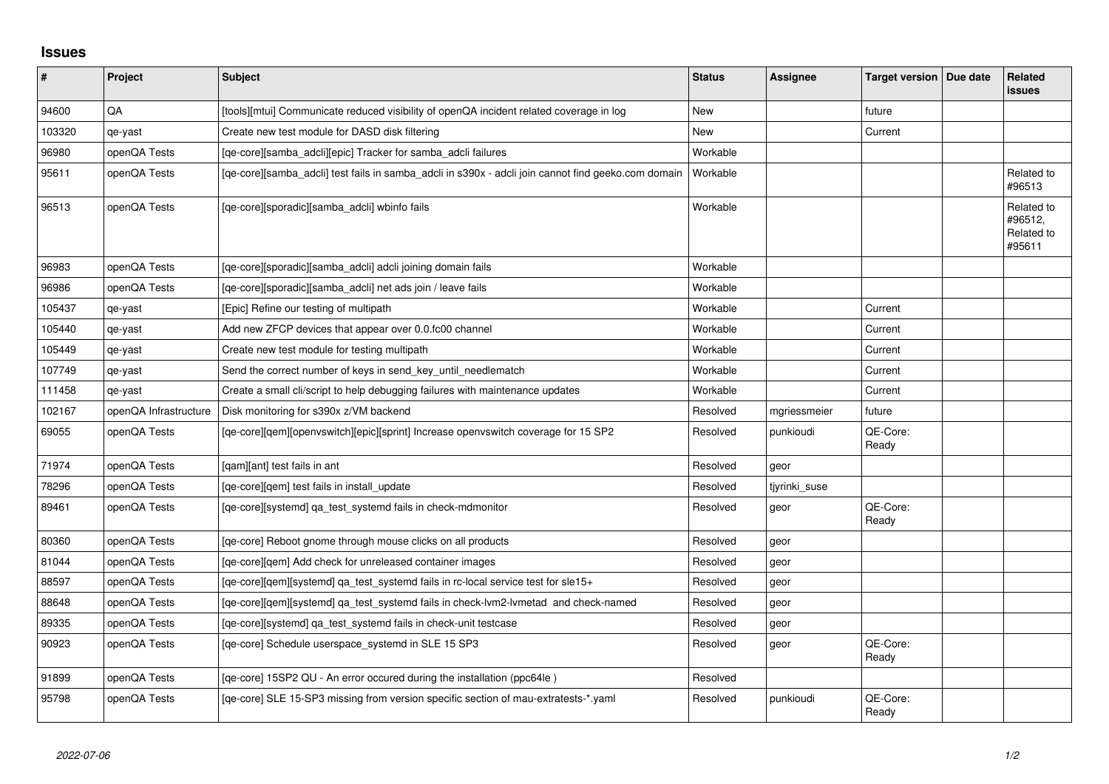## **Issues**

| $\vert$ # | Project               | <b>Subject</b>                                                                                      | <b>Status</b> | <b>Assignee</b> | Target version   Due date | Related<br>issues                             |
|-----------|-----------------------|-----------------------------------------------------------------------------------------------------|---------------|-----------------|---------------------------|-----------------------------------------------|
| 94600     | QA                    | [tools][mtui] Communicate reduced visibility of openQA incident related coverage in log             | <b>New</b>    |                 | future                    |                                               |
| 103320    | qe-yast               | Create new test module for DASD disk filtering                                                      | New           |                 | Current                   |                                               |
| 96980     | openQA Tests          | [qe-core][samba_adcli][epic] Tracker for samba_adcli failures                                       | Workable      |                 |                           |                                               |
| 95611     | openQA Tests          | [qe-core][samba_adcli] test fails in samba_adcli in s390x - adcli join cannot find geeko.com domain | Workable      |                 |                           | Related to<br>#96513                          |
| 96513     | openQA Tests          | [qe-core][sporadic][samba_adcli] wbinfo fails                                                       | Workable      |                 |                           | Related to<br>#96512,<br>Related to<br>#95611 |
| 96983     | openQA Tests          | [qe-core][sporadic][samba_adcli] adcli joining domain fails                                         | Workable      |                 |                           |                                               |
| 96986     | openQA Tests          | [qe-core][sporadic][samba_adcli] net ads join / leave fails                                         | Workable      |                 |                           |                                               |
| 105437    | qe-yast               | [Epic] Refine our testing of multipath                                                              | Workable      |                 | Current                   |                                               |
| 105440    | qe-yast               | Add new ZFCP devices that appear over 0.0.fc00 channel                                              | Workable      |                 | Current                   |                                               |
| 105449    | qe-yast               | Create new test module for testing multipath                                                        | Workable      |                 | Current                   |                                               |
| 107749    | qe-yast               | Send the correct number of keys in send_key_until_needlematch                                       | Workable      |                 | Current                   |                                               |
| 111458    | qe-yast               | Create a small cli/script to help debugging failures with maintenance updates                       | Workable      |                 | Current                   |                                               |
| 102167    | openQA Infrastructure | Disk monitoring for s390x z/VM backend                                                              | Resolved      | mgriessmeier    | future                    |                                               |
| 69055     | openQA Tests          | [qe-core][qem][openvswitch][epic][sprint] Increase openvswitch coverage for 15 SP2                  | Resolved      | punkioudi       | QE-Core:<br>Ready         |                                               |
| 71974     | openQA Tests          | [qam][ant] test fails in ant                                                                        | Resolved      | geor            |                           |                                               |
| 78296     | openQA Tests          | [qe-core][qem] test fails in install_update                                                         | Resolved      | tjyrinki_suse   |                           |                                               |
| 89461     | openQA Tests          | [qe-core][systemd] qa_test_systemd fails in check-mdmonitor                                         | Resolved      | geor            | QE-Core:<br>Ready         |                                               |
| 80360     | openQA Tests          | [qe-core] Reboot gnome through mouse clicks on all products                                         | Resolved      | geor            |                           |                                               |
| 81044     | openQA Tests          | [ge-core][gem] Add check for unreleased container images                                            | Resolved      | geor            |                           |                                               |
| 88597     | openQA Tests          | [qe-core][qem][systemd] qa_test_systemd fails in rc-local service test for sle15+                   | Resolved      | geor            |                           |                                               |
| 88648     | openQA Tests          | [qe-core][qem][systemd] qa_test_systemd fails in check-lvm2-lvmetad and check-named                 | Resolved      | geor            |                           |                                               |
| 89335     | openQA Tests          | [qe-core][systemd] qa_test_systemd fails in check-unit testcase                                     | Resolved      | geor            |                           |                                               |
| 90923     | openQA Tests          | [qe-core] Schedule userspace_systemd in SLE 15 SP3                                                  | Resolved      | geor            | QE-Core:<br>Ready         |                                               |
| 91899     | openQA Tests          | [qe-core] 15SP2 QU - An error occured during the installation (ppc64le)                             | Resolved      |                 |                           |                                               |
| 95798     | openQA Tests          | [qe-core] SLE 15-SP3 missing from version specific section of mau-extratests-*.yaml                 | Resolved      | punkioudi       | QE-Core:<br>Ready         |                                               |